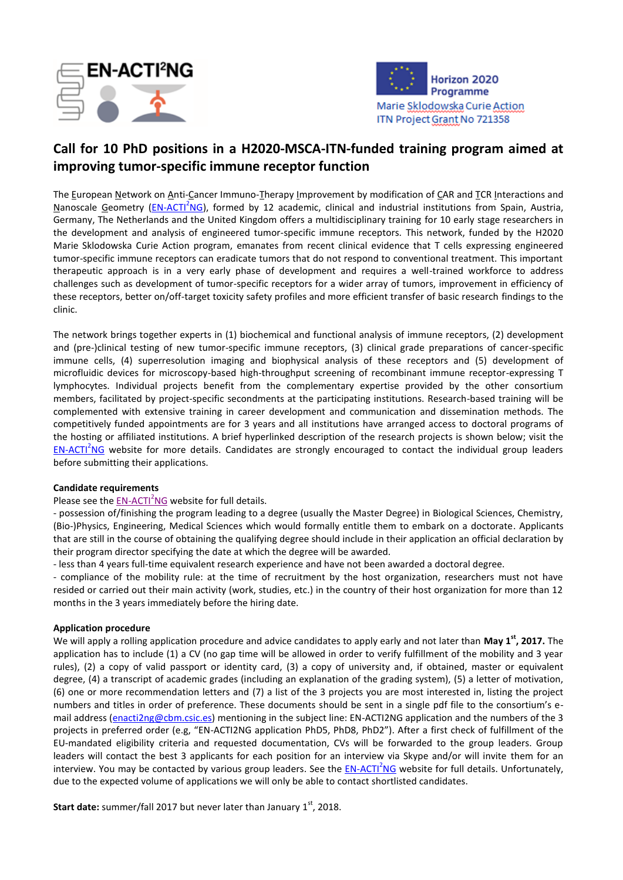



## **Call for 10 PhD positions in a H2020-MSCA-ITN-funded training program aimed at improving tumor-specific immune receptor function**

The European Network on Anti-Cancer Immuno-Therapy Improvement by modification of CAR and TCR Interactions and Nanoscale Geometry [\(EN-ACTI](http://www.enacti2ng-itn.eu/)<sup>2</sup>NG), formed by 12 academic, clinical and industrial institutions from Spain, Austria, Germany, The Netherlands and the United Kingdom offers a multidisciplinary training for 10 early stage researchers in the development and analysis of engineered tumor-specific immune receptors. This network, funded by the H2020 Marie Sklodowska Curie Action program, emanates from recent clinical evidence that T cells expressing engineered tumor-specific immune receptors can eradicate tumors that do not respond to conventional treatment. This important therapeutic approach is in a very early phase of development and requires a well-trained workforce to address challenges such as development of tumor-specific receptors for a wider array of tumors, improvement in efficiency of these receptors, better on/off-target toxicity safety profiles and more efficient transfer of basic research findings to the clinic.

The network brings together experts in (1) biochemical and functional analysis of immune receptors, (2) development and (pre-)clinical testing of new tumor-specific immune receptors, (3) clinical grade preparations of cancer-specific immune cells, (4) superresolution imaging and biophysical analysis of these receptors and (5) development of microfluidic devices for microscopy-based high-throughput screening of recombinant immune receptor-expressing T lymphocytes. Individual projects benefit from the complementary expertise provided by the other consortium members, facilitated by project-specific secondments at the participating institutions. Research-based training will be complemented with extensive training in career development and communication and dissemination methods. The competitively funded appointments are for 3 years and all institutions have arranged access to doctoral programs of the hosting or affiliated institutions. A brief hyperlinked description of the research projects is shown below; visit the [EN-ACTI](http://www.enacti2ng-itn.eu/)<sup>2</sup>NG website for more details. Candidates are strongly encouraged to contact the individual group leaders before submitting their applications.

## **Candidate requirements**

Please see the [EN-ACTI](http://www.enacti2ng-itn.eu/)<sup>2</sup>NG website for full details.

- possession of/finishing the program leading to a degree (usually the Master Degree) in Biological Sciences, Chemistry, (Bio-)Physics, Engineering, Medical Sciences which would formally entitle them to embark on a doctorate. Applicants that are still in the course of obtaining the qualifying degree should include in their application an official declaration by their program director specifying the date at which the degree will be awarded.

- less than 4 years full-time equivalent research experience and have not been awarded a doctoral degree.

- compliance of the mobility rule: at the time of recruitment by the host organization, researchers must not have resided or carried out their main activity (work, studies, etc.) in the country of their host organization for more than 12 months in the 3 years immediately before the hiring date.

## **Application procedure**

We will apply a rolling application procedure and advice candidates to apply early and not later than **May 1st, 2017.** The application has to include (1) a CV (no gap time will be allowed in order to verify fulfillment of the mobility and 3 year rules), (2) a copy of valid passport or identity card, (3) a copy of university and, if obtained, master or equivalent degree, (4) a transcript of academic grades (including an explanation of the grading system), (5) a letter of motivation, (6) one or more recommendation letters and (7) a list of the 3 projects you are most interested in, listing the project numbers and titles in order of preference. These documents should be sent in a single pdf file to the consortium's e-mail address [\(enacti2ng@cbm.csic.es\)](mailto:enacti2ng@cbm.csic.es) mentioning in the subject line: EN-ACTI2NG application and the numbers of the 3 projects in preferred order (e.g, "EN-ACTI2NG application PhD5, PhD8, PhD2"). After a first check of fulfillment of the EU-mandated eligibility criteria and requested documentation, CVs will be forwarded to the group leaders. Group leaders will contact the best 3 applicants for each position for an interview via Skype and/or will invite them for an interview. You may be contacted by various group leaders. See the **EN-ACTI<sup>2</sup>NG** website for full details. Unfortunately, due to the expected volume of applications we will only be able to contact shortlisted candidates.

**Start date:** summer/fall 2017 but never later than January 1st, 2018.